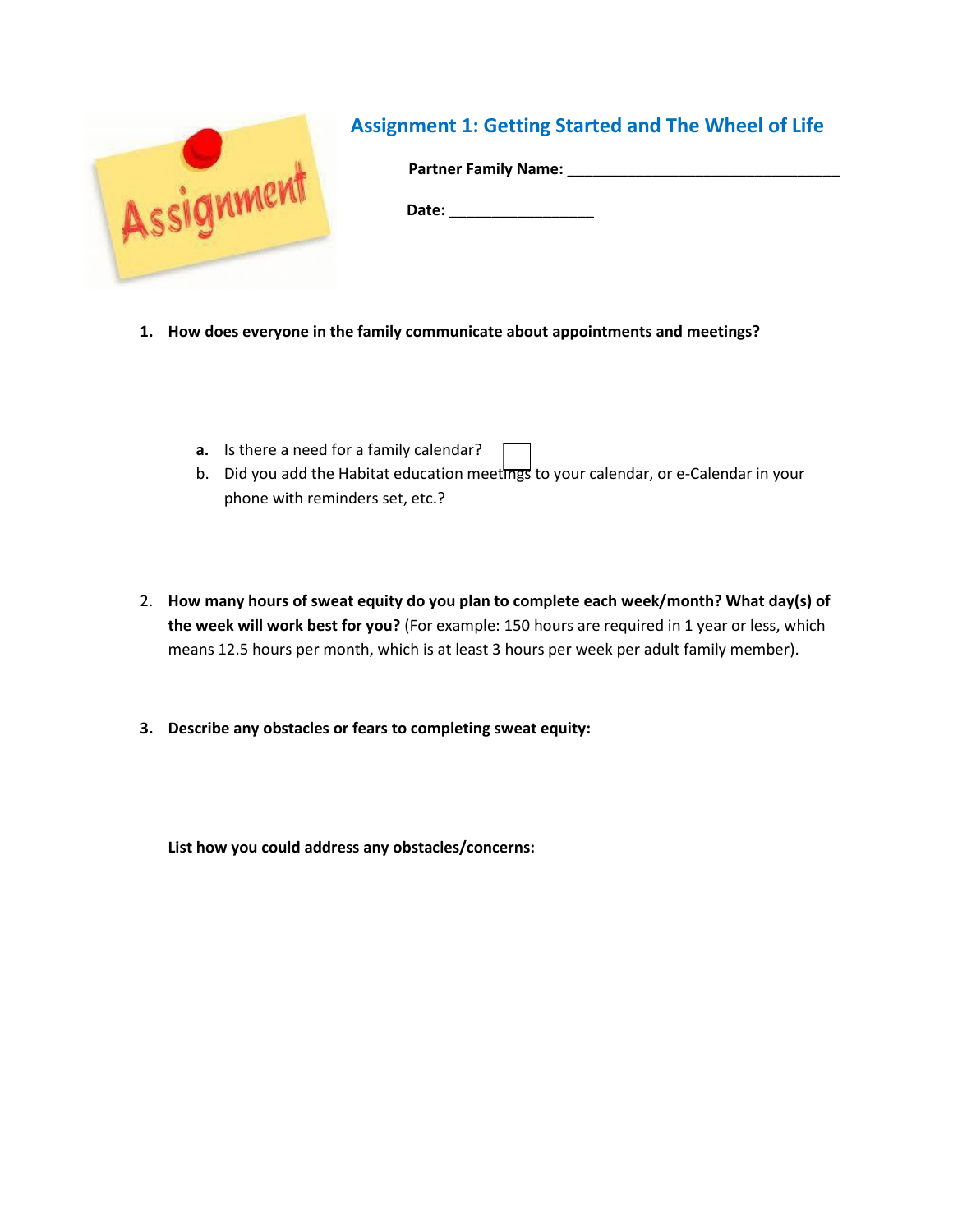

- **1. How does everyone in the family communicate about appointments and meetings?** 
	- **a.** Is there a need for a family calendar?
	- b. Did you add the Habitat education meetings to your calendar, or e-Calendar in your phone with reminders set, etc.?
- 2. **How many hours of sweat equity do you plan to complete each week/month? What day(s) of the week will work best for you?** (For example: 150 hours are required in 1 year or less, which means 12.5 hours per month, which is at least 3 hours per week per adult family member).
- **3. Describe any obstacles or fears to completing sweat equity:**

**List how you could address any obstacles/concerns:**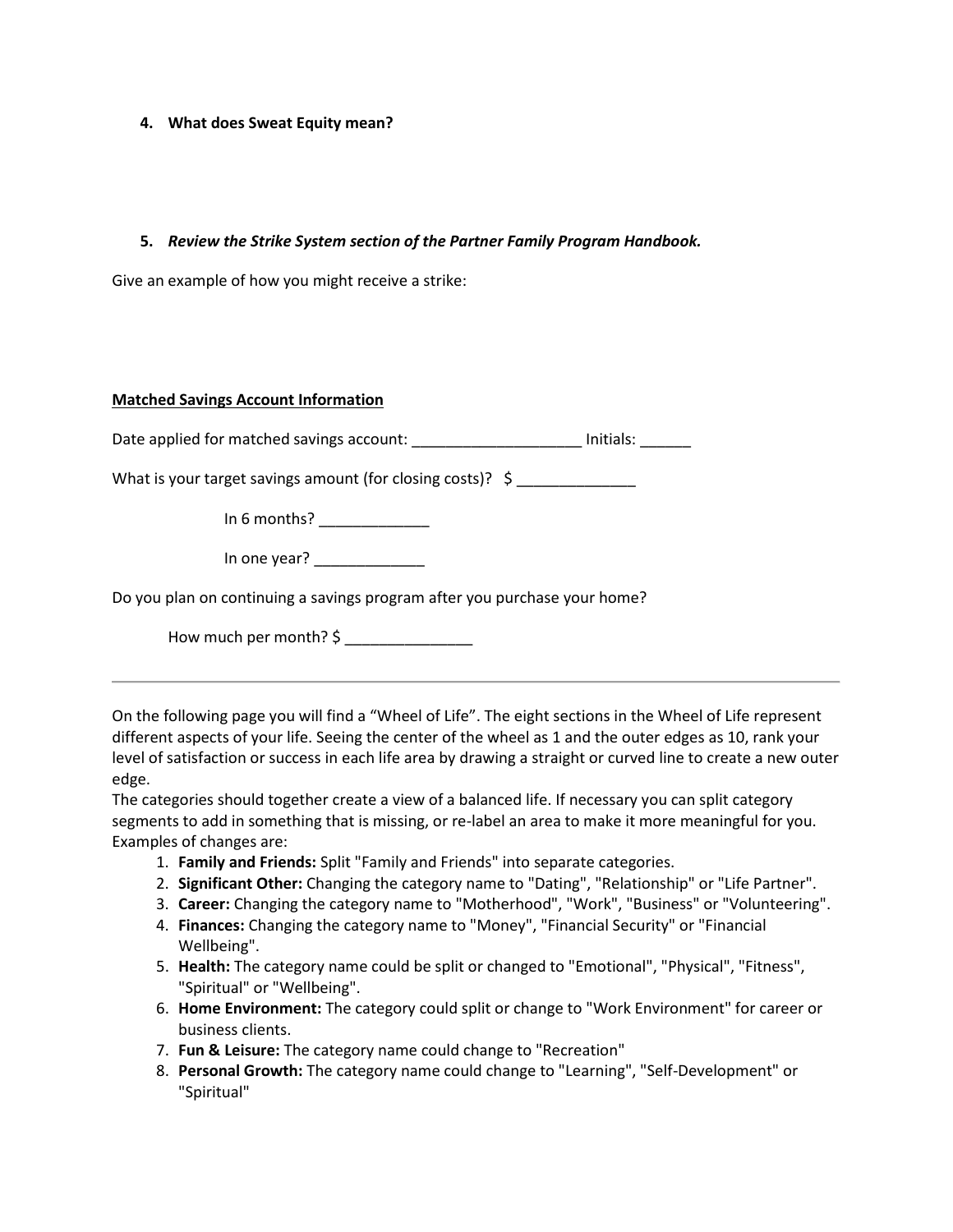## **4. What does Sweat Equity mean?**

## **5.** *Review the Strike System section of the Partner Family Program Handbook.*

Give an example of how you might receive a strike:

## **Matched Savings Account Information**

Date applied for matched savings account: The match of the limitials:

What is your target savings amount (for closing costs)?  $\oint$ 

In 6 months?  $\frac{1}{2}$ 

In one year?

Do you plan on continuing a savings program after you purchase your home?

How much per month? \$

On the following page you will find a "Wheel of Life". The eight sections in the Wheel of Life represent different aspects of your life. Seeing the center of the wheel as 1 and the outer edges as 10, rank your level of satisfaction or success in each life area by drawing a straight or curved line to create a new outer edge.

The categories should together create a view of a balanced life. If necessary you can split category segments to add in something that is missing, or re-label an area to make it more meaningful for you. Examples of changes are:

- 1. **Family and Friends:** Split "Family and Friends" into separate categories.
- 2. **Significant Other:** Changing the category name to "Dating", "Relationship" or "Life Partner".
- 3. **Career:** Changing the category name to "Motherhood", "Work", "Business" or "Volunteering".
- 4. **Finances:** Changing the category name to "Money", "Financial Security" or "Financial Wellbeing".
- 5. **Health:** The category name could be split or changed to "Emotional", "Physical", "Fitness", "Spiritual" or "Wellbeing".
- 6. **Home Environment:** The category could split or change to "Work Environment" for career or business clients.
- 7. **Fun & Leisure:** The category name could change to "Recreation"
- 8. **Personal Growth:** The category name could change to "Learning", "Self-Development" or "Spiritual"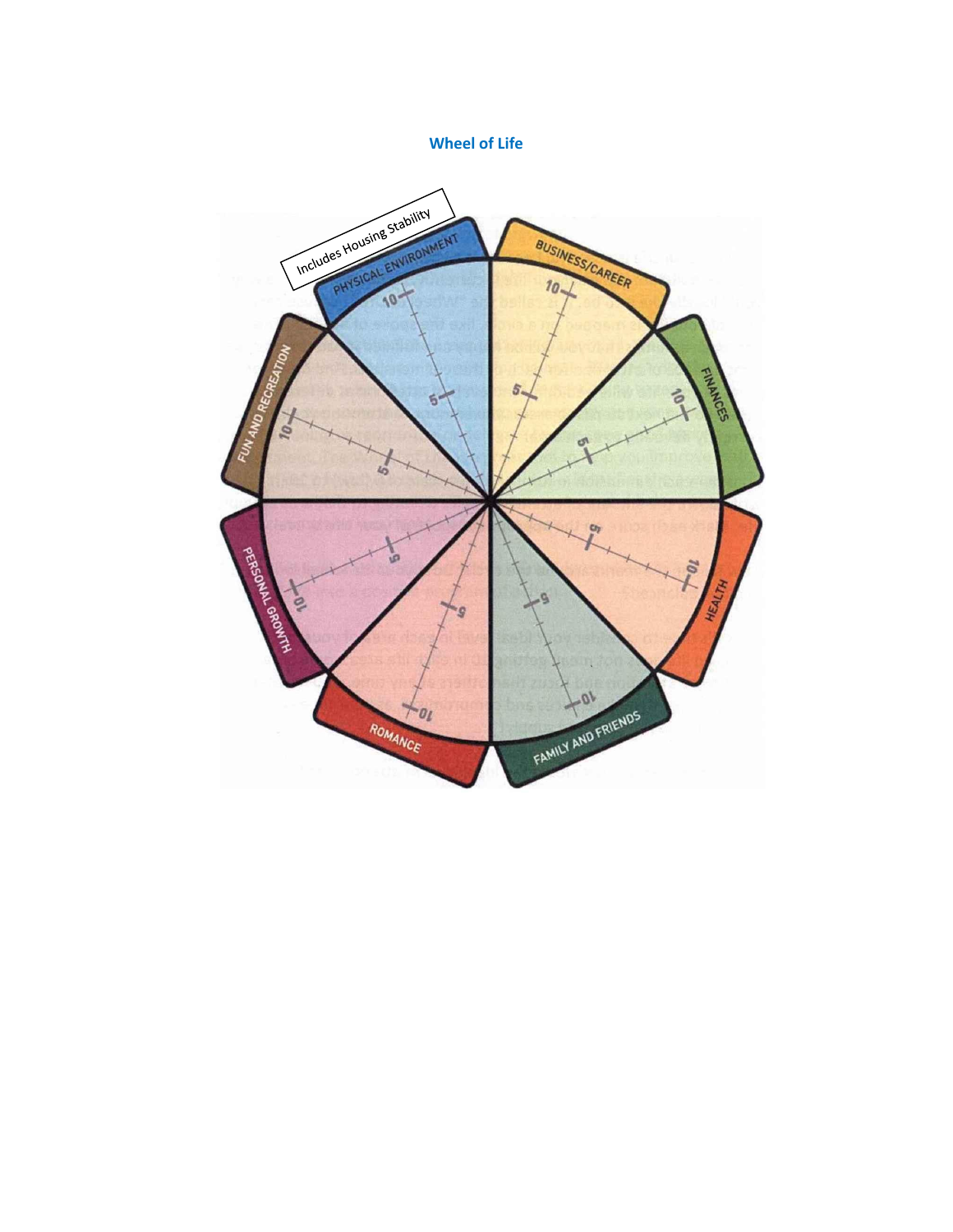**Wheel of Life**